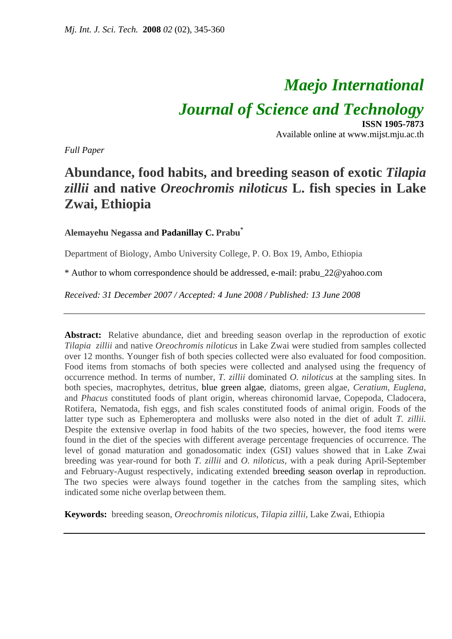# *Maejo International*

*Journal of Science and Technology*

**ISSN 1905-7873** Available online at www.mijst.mju.ac.th

*Full Paper* 

## **Abundance, food habits, and breeding season of exotic** *Tilapia zillii* **and native** *Oreochromis niloticus* **L. fish species in Lake Zwai, Ethiopia**

### **Alemayehu Negassa and Padanillay C. Prabu\***

Department of Biology, Ambo University College, P. O. Box 19, Ambo, Ethiopia

\* Author to whom correspondence should be addressed, e-mail: prabu\_22@yahoo.com

*Received: 31 December 2007 / Accepted: 4 June 2008 / Published: 13 June 2008* 

Abstract: Relative abundance, diet and breeding season overlap in the reproduction of exotic *Tilapia zillii* and native *Oreochromis niloticus* in Lake Zwai were studied from samples collected over 12 months. Younger fish of both species collected were also evaluated for food composition. Food items from stomachs of both species were collected and analysed using the frequency of occurrence method. In terms of number, *T. zillii* dominated *O. niloticus* at the sampling sites. In both species, macrophytes, detritus, blue green algae, diatoms, green algae, *Ceratium*, *Euglena*, and *Phacus* constituted foods of plant origin, whereas chironomid larvae, Copepoda, Cladocera, Rotifera, Nematoda, fish eggs, and fish scales constituted foods of animal origin. Foods of the latter type such as Ephemeroptera and mollusks were also noted in the diet of adult *T. zillii.*  Despite the extensive overlap in food habits of the two species, however, the food items were found in the diet of the species with different average percentage frequencies of occurrence. The level of gonad maturation and gonadosomatic index (GSI) values showed that in Lake Zwai breeding was year-round for both *T. zillii* and *O. niloticus*, with a peak during April-September and February-August respectively, indicating extended breeding season overlap in reproduction. The two species were always found together in the catches from the sampling sites, which indicated some niche overlap between them.

**Keywords:** breeding season, *Oreochromis niloticus*, *Tilapia zillii*, Lake Zwai, Ethiopia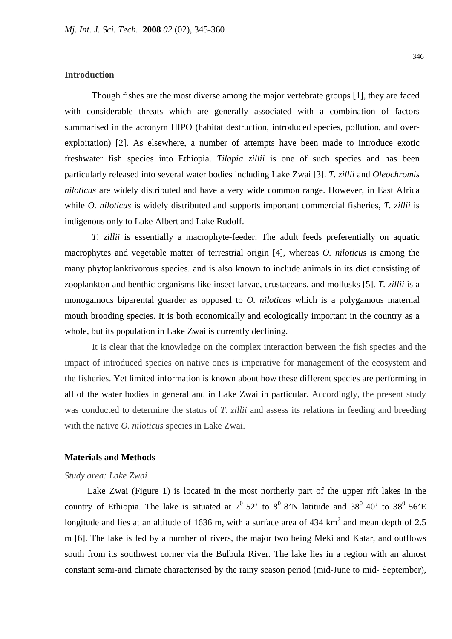#### **Introduction**

Though fishes are the most diverse among the major vertebrate groups [1], they are faced with considerable threats which are generally associated with a combination of factors summarised in the acronym HIPO (habitat destruction, introduced species, pollution, and overexploitation) [2]. As elsewhere, a number of attempts have been made to introduce exotic freshwater fish species into Ethiopia. *Tilapia zillii* is one of such species and has been particularly released into several water bodies including Lake Zwai [3]. *T. zillii* and *Oleochromis niloticus* are widely distributed and have a very wide common range. However, in East Africa while *O. niloticus* is widely distributed and supports important commercial fisheries, *T. zillii* is indigenous only to Lake Albert and Lake Rudolf.

*T. zillii* is essentially a macrophyte-feeder. The adult feeds preferentially on aquatic macrophytes and vegetable matter of terrestrial origin [4], whereas *O. niloticus* is among the many phytoplanktivorous species. and is also known to include animals in its diet consisting of zooplankton and benthic organisms like insect larvae, crustaceans, and mollusks [5]. *T. zillii* is a monogamous biparental guarder as opposed to *O. niloticus* which is a polygamous maternal mouth brooding species. It is both economically and ecologically important in the country as a whole, but its population in Lake Zwai is currently declining.

It is clear that the knowledge on the complex interaction between the fish species and the impact of introduced species on native ones is imperative for management of the ecosystem and the fisheries. Yet limited information is known about how these different species are performing in all of the water bodies in general and in Lake Zwai in particular. Accordingly, the present study was conducted to determine the status of *T. zillii* and assess its relations in feeding and breeding with the native *O. niloticus* species in Lake Zwai.

#### **Materials and Methods**

#### *Study area: Lake Zwai*

 Lake Zwai (Figure 1) is located in the most northerly part of the upper rift lakes in the country of Ethiopia. The lake is situated at  $7^0$  52' to  $8^0$  8'N latitude and 38<sup>0</sup> 40' to 38<sup>0</sup> 56'E longitude and lies at an altitude of 1636 m, with a surface area of 434  $km^2$  and mean depth of 2.5 m [6]. The lake is fed by a number of rivers, the major two being Meki and Katar, and outflows south from its southwest corner via the Bulbula River. The lake lies in a region with an almost constant semi-arid climate characterised by the rainy season period (mid-June to mid- September),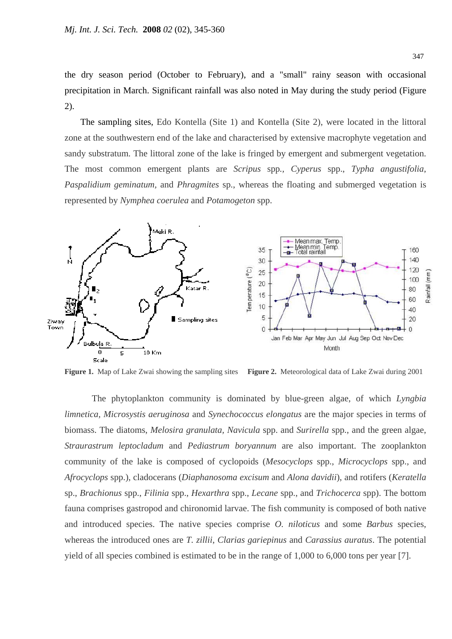the dry season period (October to February), and a "small" rainy season with occasional precipitation in March. Significant rainfall was also noted in May during the study period (Figure 2).

 The sampling sites, Edo Kontella (Site 1) and Kontella (Site 2), were located in the littoral zone at the southwestern end of the lake and characterised by extensive macrophyte vegetation and sandy substratum. The littoral zone of the lake is fringed by emergent and submergent vegetation. The most common emergent plants are *Scripus* spp*., Cyperus* spp., *Typha angustifolia*, *Paspalidium geminatum,* and *Phragmites* sp., whereas the floating and submerged vegetation is represented by *Nymphea coerulea* and *Potamogeton* spp.



**Figure 1.** Map of Lake Zwai showing the sampling sites **Figure 2.** Meteorological data of Lake Zwai during 2001

The phytoplankton community is dominated by blue-green algae, of which *Lyngbia limnetica, Microsystis aeruginosa* and *Synechococcus elongatus* are the major species in terms of biomass. The diatoms, *Melosira granulata, Navicula* spp. and *Surirella* spp., and the green algae, *Straurastrum leptocladum* and *Pediastrum boryannum* are also important. The zooplankton community of the lake is composed of cyclopoids (*Mesocyclops* spp., *Microcyclops* spp., and *Afrocyclops* spp.), cladocerans (*Diaphanosoma excisum* and *Alona davidii*), and rotifers (*Keratella* sp., *Brachionus* spp., *Filinia* spp., *Hexarthra* spp., *Lecane* spp., and *Trichocerca* spp). The bottom fauna comprises gastropod and chironomid larvae. The fish community is composed of both native and introduced species. The native species comprise *O. niloticus* and some *Barbus* species, whereas the introduced ones are *T. zillii*, *Clarias gariepinus* and *Carassius auratus*. The potential yield of all species combined is estimated to be in the range of 1,000 to 6,000 tons per year [7].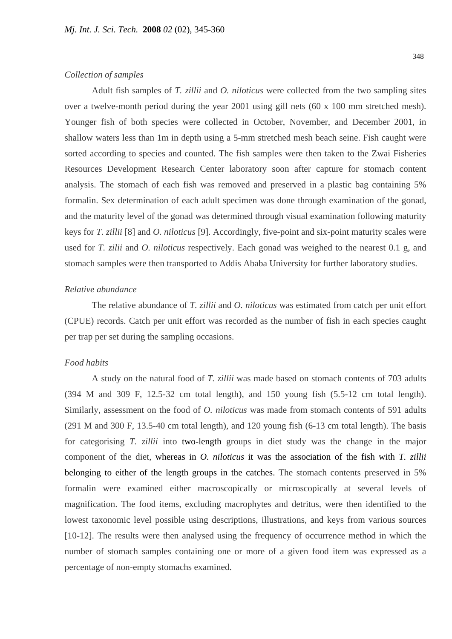#### *Collection of samples*

Adult fish samples of *T. zillii* and *O. niloticus* were collected from the two sampling sites over a twelve-month period during the year 2001 using gill nets (60 x 100 mm stretched mesh). Younger fish of both species were collected in October, November, and December 2001, in shallow waters less than 1m in depth using a 5-mm stretched mesh beach seine. Fish caught were sorted according to species and counted. The fish samples were then taken to the Zwai Fisheries Resources Development Research Center laboratory soon after capture for stomach content analysis. The stomach of each fish was removed and preserved in a plastic bag containing 5% formalin. Sex determination of each adult specimen was done through examination of the gonad, and the maturity level of the gonad was determined through visual examination following maturity keys for *T. zillii* [8] and *O. niloticus* [9]. Accordingly, five-point and six-point maturity scales were used for *T. zilii* and *O. niloticus* respectively. Each gonad was weighed to the nearest 0.1 g, and stomach samples were then transported to Addis Ababa University for further laboratory studies.

#### *Relative abundance*

The relative abundance of *T. zillii* and *O. niloticus* was estimated from catch per unit effort (CPUE) records. Catch per unit effort was recorded as the number of fish in each species caught per trap per set during the sampling occasions.

#### *Food habits*

A study on the natural food of *T. zillii* was made based on stomach contents of 703 adults (394 M and 309 F, 12.5-32 cm total length), and 150 young fish (5.5-12 cm total length). Similarly, assessment on the food of *O. niloticus* was made from stomach contents of 591 adults (291 M and 300 F, 13.5-40 cm total length)*,* and 120 young fish (6-13 cm total length). The basis for categorising *T. zillii* into two-length groups in diet study was the change in the major component of the diet, whereas in *O. niloticus* it was the association of the fish with *T. zillii*  belonging to either of the length groups in the catches. The stomach contents preserved in 5% formalin were examined either macroscopically or microscopically at several levels of magnification. The food items, excluding macrophytes and detritus, were then identified to the lowest taxonomic level possible using descriptions, illustrations, and keys from various sources [10-12]. The results were then analysed using the frequency of occurrence method in which the number of stomach samples containing one or more of a given food item was expressed as a percentage of non-empty stomachs examined.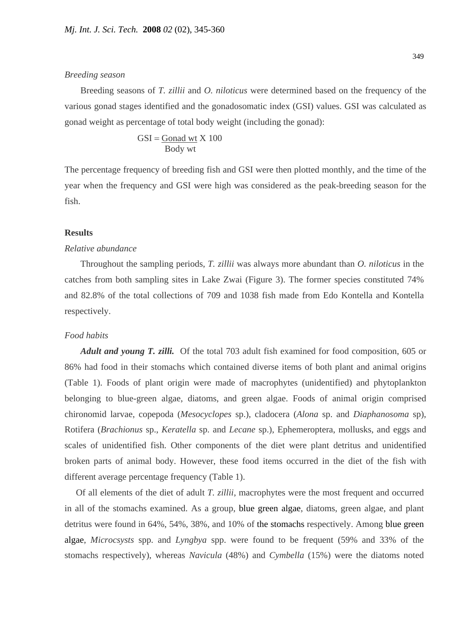#### *Breeding season*

 Breeding seasons of *T. zillii* and *O. niloticus* were determined based on the frequency of the various gonad stages identified and the gonadosomatic index (GSI) values. GSI was calculated as gonad weight as percentage of total body weight (including the gonad):

$$
GSI = \frac{Gonad wt}{Body wt} \times 100
$$

The percentage frequency of breeding fish and GSI were then plotted monthly, and the time of the year when the frequency and GSI were high was considered as the peak-breeding season for the fish.

#### **Results**

#### *Relative abundance*

Throughout the sampling periods, *T. zillii* was always more abundant than *O. niloticus* in the catches from both sampling sites in Lake Zwai (Figure 3). The former species constituted 74% and 82.8% of the total collections of 709 and 1038 fish made from Edo Kontella and Kontella respectively.

#### *Food habits*

 *Adult and young T. zilli.* Of the total 703 adult fish examined for food composition, 605 or 86% had food in their stomachs which contained diverse items of both plant and animal origins (Table 1). Foods of plant origin were made of macrophytes (unidentified) and phytoplankton belonging to blue-green algae, diatoms, and green algae. Foods of animal origin comprised chironomid larvae, copepoda (*Mesocyclopes* sp.), cladocera (*Alona* sp. and *Diaphanosoma* sp), Rotifera (*Brachionus* sp., *Keratella* sp. and *Lecane* sp.), Ephemeroptera, mollusks, and eggs and scales of unidentified fish. Other components of the diet were plant detritus and unidentified broken parts of animal body. However, these food items occurred in the diet of the fish with different average percentage frequency (Table 1).

 Of all elements of the diet of adult *T. zillii*, macrophytes were the most frequent and occurred in all of the stomachs examined. As a group, blue green algae, diatoms, green algae, and plant detritus were found in 64%, 54%, 38%, and 10% of the stomachs respectively. Among blue green algae, *Microcsysts* spp. and *Lyngbya* spp. were found to be frequent (59% and 33% of the stomachs respectively), whereas *Navicula* (48%) and *Cymbella* (15%) were the diatoms noted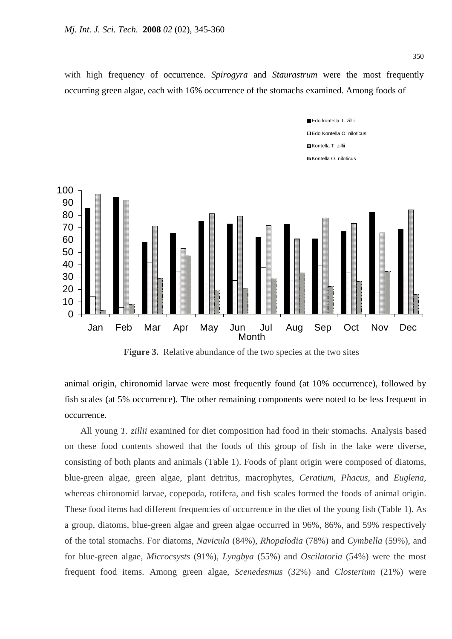with high frequency of occurrence. *Spirogyra* and *Staurastrum* were the most frequently occurring green algae, each with 16% occurrence of the stomachs examined. Among foods of



 **Figure 3.** Relative abundance of the two species at the two sites

animal origin, chironomid larvae were most frequently found (at 10% occurrence), followed by fish scales (at 5% occurrence). The other remaining components were noted to be less frequent in occurrence.

 All young *T. zillii* examined for diet composition had food in their stomachs. Analysis based on these food contents showed that the foods of this group of fish in the lake were diverse, consisting of both plants and animals (Table 1). Foods of plant origin were composed of diatoms, blue-green algae, green algae, plant detritus, macrophytes, *Ceratium*, *Phacus*, and *Euglena,*  whereas chironomid larvae, copepoda, rotifera, and fish scales formed the foods of animal origin. These food items had different frequencies of occurrence in the diet of the young fish (Table 1). As a group, diatoms, blue-green algae and green algae occurred in 96%, 86%, and 59% respectively of the total stomachs. For diatoms, *Navicula* (84%), *Rhopalodia* (78%) and *Cymbella* (59%), and for blue-green algae, *Microcsysts* (91%), *Lyngbya* (55%) and *Oscilatoria* (54%) were the most frequent food items. Among green algae, *Scenedesmus* (32%) and *Closterium* (21%) were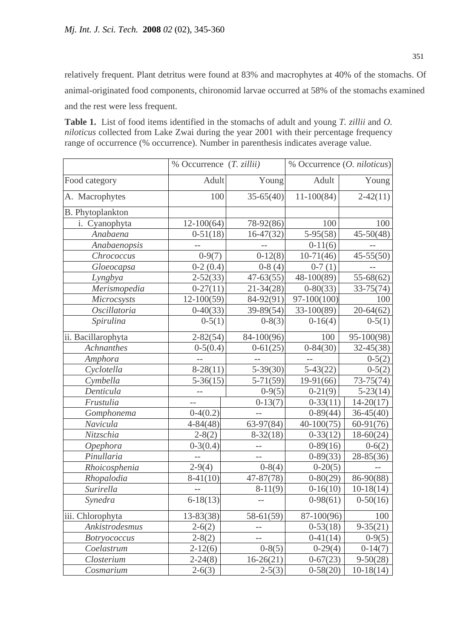relatively frequent. Plant detritus were found at 83% and macrophytes at 40% of the stomachs. Of animal-originated food components, chironomid larvae occurred at 58% of the stomachs examined and the rest were less frequent.

**Table 1.** List of food items identified in the stomachs of adult and young *T. zillii* and *O. niloticus* collected from Lake Zwai during the year 2001 with their percentage frequency range of occurrence (% occurrence). Number in parenthesis indicates average value.

|                         | % Occurrence $(T. zillii)$ |                   | % Occurrence ( <i>O. niloticus</i> ) |               |
|-------------------------|----------------------------|-------------------|--------------------------------------|---------------|
| Food category           | Adult                      | Young             | Adult                                | Young         |
| A. Macrophytes          | 100                        | $35-65(40)$       | $11-100(84)$                         | $2-42(11)$    |
| <b>B.</b> Phytoplankton |                            |                   |                                      |               |
| i. Cyanophyta           | $12-100(64)$               | 78-92(86)         | 100                                  | 100           |
| Anabaena                | $0-51(18)$                 | $16-47(32)$       | $5-95(58)$                           | $45 - 50(48)$ |
| Anabaenopsis            | $-$                        |                   | $0-11(6)$                            |               |
| Chrococcus              | $0-9(7)$                   | $0-12(8)$         | $\overline{10-71(46)}$               | $45 - 55(50)$ |
| Gloeocapsa              | $0-2(0.4)$                 | $0-8(4)$          | $0-7(1)$                             |               |
| Lyngbya                 | $2 - 52(33)$               | $47 - 63(55)$     | 48-100(89)                           | $55 - 68(62)$ |
| Merismopedia            | $0-27(11)$                 | $21 - 34(28)$     | $0 - 80(33)$                         | $33 - 75(74)$ |
| Microcsysts             | $12 - 100(59)$             | 84-92(91)         | $97 - 100(100)$                      | 100           |
| Oscillatoria            | $0-40(33)$                 | 39-89(54)         | 33-100(89)                           | $20 - 64(62)$ |
| Spirulina               | $0-5(1)$                   | $0-8(3)$          | $0-16(4)$                            | $0-5(1)$      |
| ii. Bacillarophyta      | $2 - 82(54)$               | 84-100(96)        | 100                                  | 95-100(98)    |
| <b>Achnanthes</b>       | $0-5(0.4)$                 | $0-61(25)$        | $0-84(30)$                           | $32 - 45(38)$ |
| Amphora                 |                            |                   |                                      | $0-5(2)$      |
| Cyclotella              | $8-28(11)$                 | $5 - 39(30)$      | $5-43(22)$                           | $0-5(2)$      |
| Cymbella                | $5 - 36(15)$               | $5 - 71(59)$      | $19-91(66)$                          | $73-75(74)$   |
| Denticula               |                            | $0-9(5)$          | $0-21(9)$                            | $5 - 23(14)$  |
| Frustulia               | $-$                        | $0-13(7)$         | $0-33(11)$                           | $14 - 20(17)$ |
| Gomphonema              | $0-4(0.2)$                 |                   | $0-89(44)$                           | $36 - 45(40)$ |
| Navicula                | $4 - 84(48)$               | $63-97(84)$       | $40-100(75)$                         | $60-91(76)$   |
| Nitzschia               | $2 - 8(2)$                 | $8 - 32(18)$      | $0-33(12)$                           | $18 - 60(24)$ |
| Opephora                | $0-3(0.4)$                 | $--$              | $0-89(16)$                           | $0-6(2)$      |
| Pinullaria              | $-$                        | $-$               | $0 - 89(33)$                         | 28-85(36)     |
| Rhoicosphenia           | $2-9(4)$                   | $0-8(4)$          | $0-20(5)$                            |               |
| Rhopalodia              | $8-41(10)$                 | 47-87(78)         | $0-80(29)$                           | 86-90(88)     |
| Surirella               | --                         | $8-11(9)$         | $0-16(10)$                           | $10-18(14)$   |
| Synedra                 | $6-18(13)$                 | $\qquad \qquad -$ | $0-98(61)$                           | $0-50(16)$    |
| iii. Chlorophyta        | $13 - 83(38)$              | $58 - 61(59)$     | 87-100(96)                           | 100           |
| Ankistrodesmus          | $2-6(2)$                   | $-$               | $0-53(18)$                           | $9 - 35(21)$  |
| <b>Botryococcus</b>     | $2 - 8(2)$                 | $-$               | $0-41(14)$                           | $0-9(5)$      |
| Coelastrum              | $2-12(6)$                  | $0-8(5)$          | $0-29(4)$                            | $0-14(7)$     |
| Closterium              | $2 - 24(8)$                | $16-26(21)$       | $0-67(23)$                           | $9 - 50(28)$  |
| Cosmarium               | $2 - 6(3)$                 | $2-5(3)$          | $0-58(20)$                           | $10-18(14)$   |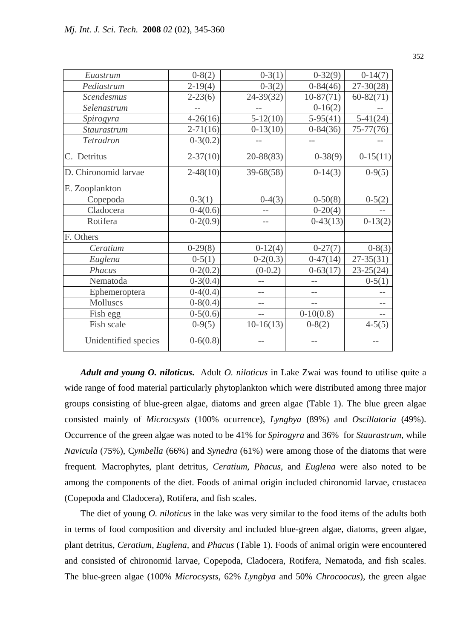| Euastrum             | $0-8(2)$     | $0-3(1)$      | $0-32(9)$    | $0-14(7)$     |
|----------------------|--------------|---------------|--------------|---------------|
| Pediastrum           | $2-19(4)$    | $0-3(2)$      | $0-84(46)$   | $27 - 30(28)$ |
| Scendesmus           | $2 - 23(6)$  | $24 - 39(32)$ | $10-87(71)$  | $60 - 82(71)$ |
| Selenastrum          |              |               | $0-16(2)$    |               |
| Spirogyra            | $4-26(16)$   | $5-12(10)$    | $5-95(41)$   | $5-41(24)$    |
| Staurastrum          | $2 - 71(16)$ | $0-13(10)$    | $0-84(36)$   | $75 - 77(76)$ |
| Tetradron            | $0-3(0.2)$   |               |              |               |
| C. Detritus          | $2 - 37(10)$ | 20-88(83)     | $0-38(9)$    | $0-15(11)$    |
| D. Chironomid larvae | $2 - 48(10)$ | $39 - 68(58)$ | $0-14(3)$    | $0-9(5)$      |
| E. Zooplankton       |              |               |              |               |
| Copepoda             | $0-3(1)$     | $0-4(3)$      | $0-50(8)$    | $0-5(2)$      |
| Cladocera            | $0-4(0.6)$   |               | $0-20(4)$    |               |
| Rotifera             | $0-2(0.9)$   |               | $0-43(13)$   | $0-13(2)$     |
| F. Others            |              |               |              |               |
| Ceratium             | $0-29(8)$    | $0-12(4)$     | $0-27(7)$    | $0-8(3)$      |
| Euglena              | $0-5(1)$     | $0-2(0.3)$    | $0-47(14)$   | $27 - 35(31)$ |
| Phacus               | $0-2(0.2)$   | $(0-0.2)$     | $0 - 63(17)$ | $23 - 25(24)$ |
| Nematoda             | $0-3(0.4)$   |               |              | $0-5(1)$      |
| Ephemeroptera        | $0-4(0.4)$   |               |              |               |
| Molluscs             | $0-8(0.4)$   |               |              |               |
| Fish egg             | $0-5(0.6)$   |               | $0-10(0.8)$  |               |
| Fish scale           | $0-9(5)$     | $10-16(13)$   | $0-8(2)$     | $4-5(5)$      |
| Unidentified species | $0 - 6(0.8)$ |               |              |               |

 *Adult and young O. niloticus***.** Adult *O. niloticus* in Lake Zwai was found to utilise quite a wide range of food material particularly phytoplankton which were distributed among three major groups consisting of blue-green algae, diatoms and green algae (Table 1). The blue green algae consisted mainly of *Microcsysts* (100% ocurrence), *Lyngbya* (89%) and *Oscillatoria* (49%). Occurrence of the green algae was noted to be 41% for *Spirogyra* and 36% for *Staurastrum*, while *Navicula* (75%), C*ymbella* (66%) and *Synedra* (61%) were among those of the diatoms that were frequent*.* Macrophytes, plant detritus, *Ceratium*, *Phacus*, and *Euglena* were also noted to be among the components of the diet. Foods of animal origin included chironomid larvae, crustacea (Copepoda and Cladocera), Rotifera, and fish scales.

 The diet of young *O. niloticus* in the lake was very similar to the food items of the adults both in terms of food composition and diversity and included blue-green algae, diatoms, green algae, plant detritus, *Ceratium*, *Euglena,* and *Phacus* (Table 1). Foods of animal origin were encountered and consisted of chironomid larvae, Copepoda*,* Cladocera*,* Rotifera*,* Nematoda, and fish scales. The blue-green algae (100% *Microcsysts*, 62% *Lyngbya* and 50% *Chrocoocus*), the green algae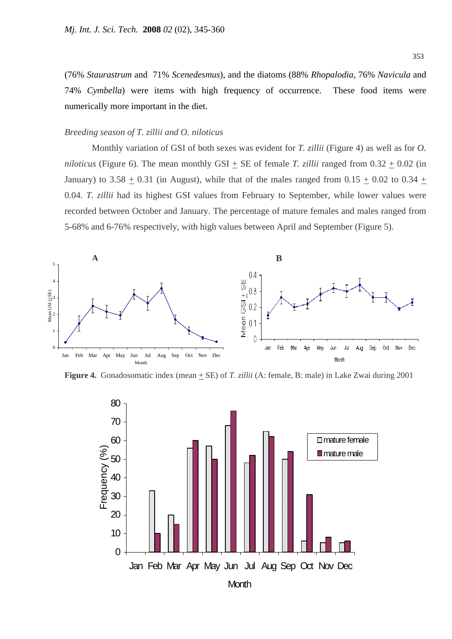(76% *Staurastrum* and 71% *Scenedesmus*), and the diatoms (88% *Rhopalodia,* 76% *Navicula* and 74% *Cymbella*) were items with high frequency of occurrence. These food items were numerically more important in the diet.

#### *Breeding season of T. zillii and O. niloticus*

Monthly variation of GSI of both sexes was evident for *T. zillii* (Figure 4) as well as for *O. niloticus* (Figure 6). The mean monthly GSI  $\pm$  SE of female *T. zillii* ranged from  $0.32 \pm 0.02$  (in January) to  $3.58 + 0.31$  (in August), while that of the males ranged from  $0.15 + 0.02$  to  $0.34 +$ 0.04. *T. zillii* had its highest GSI values from February to September, while lower values were recorded between October and January. The percentage of mature females and males ranged from 5-68% and 6-76% respectively, with high values between April and September (Figure 5).



**Figure 4.** Gonadosomatic index (mean  $\pm$  SE) of *T. zillii* (A: female, B: male) in Lake Zwai during 2001

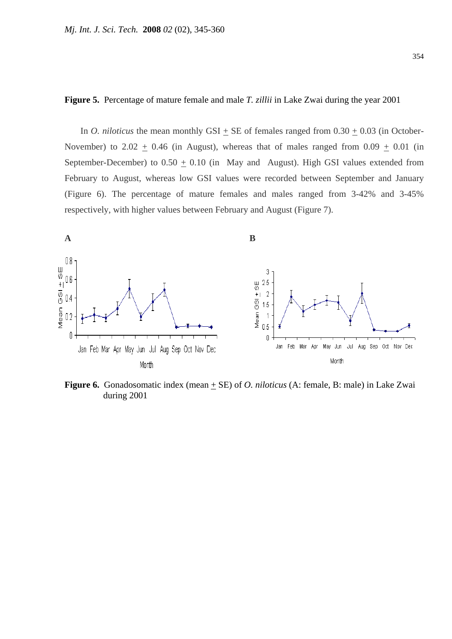#### **Figure 5.** Percentage of mature female and male *T. zillii* in Lake Zwai during the year 2001

In *O. niloticus* the mean monthly GSI + SE of females ranged from  $0.30 + 0.03$  (in October-November) to  $2.02 + 0.46$  (in August), whereas that of males ranged from  $0.09 + 0.01$  (in September-December) to  $0.50 + 0.10$  (in May and August). High GSI values extended from February to August, whereas low GSI values were recorded between September and January (Figure 6). The percentage of mature females and males ranged from 3-42% and 3-45% respectively, with higher values between February and August (Figure 7).



**Figure 6.** Gonadosomatic index (mean  $\pm$  SE) of *O. niloticus* (A: female, B: male) in Lake Zwai during 2001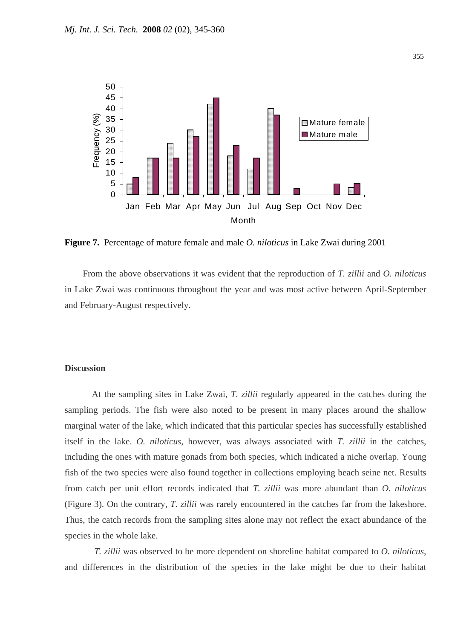

**Figure 7.** Percentage of mature female and male *O. niloticus* in Lake Zwai during 2001

 From the above observations it was evident that the reproduction of *T. zillii* and *O. niloticus* in Lake Zwai was continuous throughout the year and was most active between April-September and February-August respectively.

#### **Discussion**

At the sampling sites in Lake Zwai, *T. zillii* regularly appeared in the catches during the sampling periods. The fish were also noted to be present in many places around the shallow marginal water of the lake, which indicated that this particular species has successfully established itself in the lake. *O. niloticus*, however, was always associated with *T. zillii* in the catches, including the ones with mature gonads from both species, which indicated a niche overlap. Young fish of the two species were also found together in collections employing beach seine net. Results from catch per unit effort records indicated that *T. zillii* was more abundant than *O. niloticus* (Figure 3). On the contrary, *T. zillii* was rarely encountered in the catches far from the lakeshore. Thus, the catch records from the sampling sites alone may not reflect the exact abundance of the species in the whole lake.

*T. zillii* was observed to be more dependent on shoreline habitat compared to *O. niloticus,*  and differences in the distribution of the species in the lake might be due to their habitat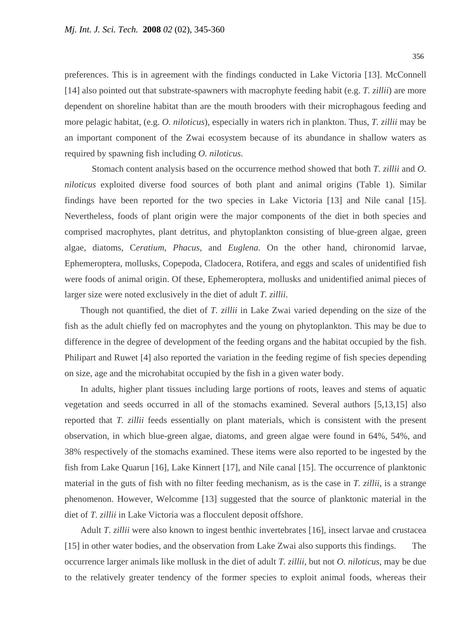preferences. This is in agreement with the findings conducted in Lake Victoria [13]. McConnell [14] also pointed out that substrate-spawners with macrophyte feeding habit (e.g. *T. zillii*) are more dependent on shoreline habitat than are the mouth brooders with their microphagous feeding and more pelagic habitat, (e.g. *O. niloticus*), especially in waters rich in plankton. Thus, *T. zillii* may be an important component of the Zwai ecosystem because of its abundance in shallow waters as required by spawning fish including *O. niloticus*.

Stomach content analysis based on the occurrence method showed that both *T. zillii* and *O. niloticus* exploited diverse food sources of both plant and animal origins (Table 1). Similar findings have been reported for the two species in Lake Victoria [13] and Nile canal [15]. Nevertheless, foods of plant origin were the major components of the diet in both species and comprised macrophytes, plant detritus, and phytoplankton consisting of blue-green algae, green algae, diatoms, C*eratium*, *Phacus,* and *Euglena.* On the other hand, chironomid larvae, Ephemeroptera, mollusks, Copepoda, Cladocera, Rotifera, and eggs and scales of unidentified fish were foods of animal origin. Of these, Ephemeroptera, mollusks and unidentified animal pieces of larger size were noted exclusively in the diet of adult *T. zillii*.

 Though not quantified, the diet of *T. zillii* in Lake Zwai varied depending on the size of the fish as the adult chiefly fed on macrophytes and the young on phytoplankton. This may be due to difference in the degree of development of the feeding organs and the habitat occupied by the fish. Philipart and Ruwet [4] also reported the variation in the feeding regime of fish species depending on size, age and the microhabitat occupied by the fish in a given water body.

 In adults, higher plant tissues including large portions of roots, leaves and stems of aquatic vegetation and seeds occurred in all of the stomachs examined. Several authors [5,13,15] also reported that *T. zillii* feeds essentially on plant materials, which is consistent with the present observation, in which blue-green algae, diatoms, and green algae were found in 64%, 54%, and 38% respectively of the stomachs examined. These items were also reported to be ingested by the fish from Lake Quarun [16], Lake Kinnert [17], and Nile canal [15]. The occurrence of planktonic material in the guts of fish with no filter feeding mechanism, as is the case in *T. zillii*, is a strange phenomenon. However, Welcomme [13] suggested that the source of planktonic material in the diet of *T. zillii* in Lake Victoria was a flocculent deposit offshore.

 Adult *T. zillii* were also known to ingest benthic invertebrates [16], insect larvae and crustacea [15] in other water bodies, and the observation from Lake Zwai also supports this findings. The occurrence larger animals like mollusk in the diet of adult *T. zillii*, but not *O. niloticus*, may be due to the relatively greater tendency of the former species to exploit animal foods, whereas their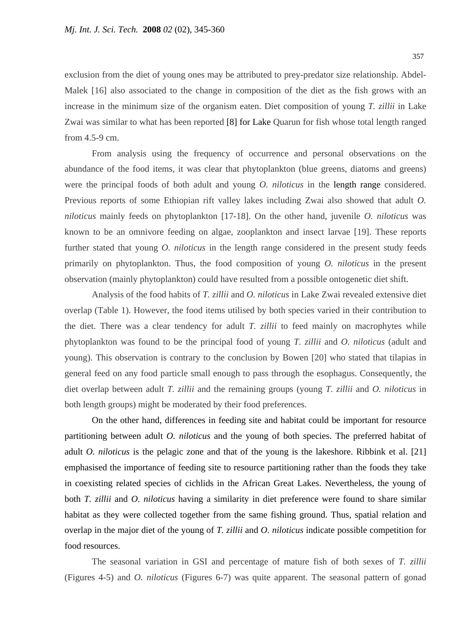exclusion from the diet of young ones may be attributed to prey-predator size relationship. Abdel-Malek [16] also associated to the change in composition of the diet as the fish grows with an increase in the minimum size of the organism eaten. Diet composition of young *T. zillii* in Lake Zwai was similar to what has been reported [8] for Lake Quarun for fish whose total length ranged from 4.5-9 cm.

From analysis using the frequency of occurrence and personal observations on the abundance of the food items, it was clear that phytoplankton (blue greens, diatoms and greens) were the principal foods of both adult and young *O. niloticus* in the length range considered. Previous reports of some Ethiopian rift valley lakes including Zwai also showed that adult *O. niloticus* mainly feeds on phytoplankton [17-18]. On the other hand, juvenile *O. niloticus* was known to be an omnivore feeding on algae, zooplankton and insect larvae [19]. These reports further stated that young *O. niloticus* in the length range considered in the present study feeds primarily on phytoplankton. Thus, the food composition of young *O. niloticus* in the present observation (mainly phytoplankton) could have resulted from a possible ontogenetic diet shift.

Analysis of the food habits of *T. zillii* and *O. niloticus* in Lake Zwai revealed extensive diet overlap (Table 1). However, the food items utilised by both species varied in their contribution to the diet. There was a clear tendency for adult *T. zillii* to feed mainly on macrophytes while phytoplankton was found to be the principal food of young *T. zillii* and *O. niloticus* (adult and young). This observation is contrary to the conclusion by Bowen [20] who stated that tilapias in general feed on any food particle small enough to pass through the esophagus. Consequently, the diet overlap between adult *T. zillii* and the remaining groups (young *T. zillii* and *O. niloticus* in both length groups) might be moderated by their food preferences.

On the other hand, differences in feeding site and habitat could be important for resource partitioning between adult *O. niloticus* and the young of both species. The preferred habitat of adult *O. niloticus* is the pelagic zone and that of the young is the lakeshore. Ribbink et al. [21] emphasised the importance of feeding site to resource partitioning rather than the foods they take in coexisting related species of cichlids in the African Great Lakes. Nevertheless, the young of both *T. zillii* and *O. niloticus* having a similarity in diet preference were found to share similar habitat as they were collected together from the same fishing ground. Thus, spatial relation and overlap in the major diet of the young of *T. zillii* and *O. niloticus* indicate possible competition for food resources.

The seasonal variation in GSI and percentage of mature fish of both sexes of *T. zillii* (Figures 4-5) and *O. niloticus* (Figures 6-7) was quite apparent. The seasonal pattern of gonad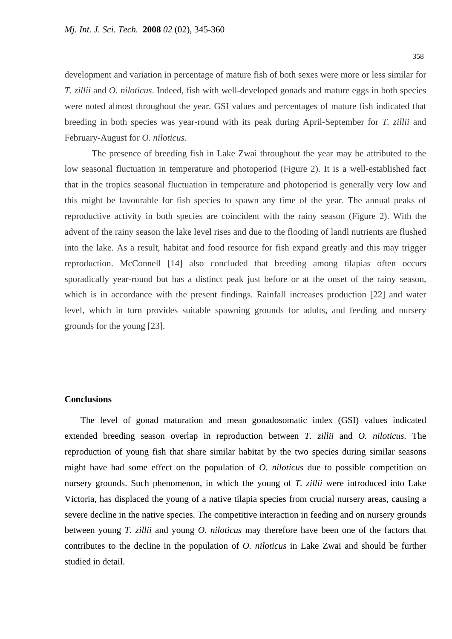development and variation in percentage of mature fish of both sexes were more or less similar for *T. zillii* and *O. niloticus*. Indeed, fish with well-developed gonads and mature eggs in both species were noted almost throughout the year. GSI values and percentages of mature fish indicated that breeding in both species was year-round with its peak during April-September for *T. zillii* and February-August for *O. niloticus.*

The presence of breeding fish in Lake Zwai throughout the year may be attributed to the low seasonal fluctuation in temperature and photoperiod (Figure 2). It is a well-established fact that in the tropics seasonal fluctuation in temperature and photoperiod is generally very low and this might be favourable for fish species to spawn any time of the year. The annual peaks of reproductive activity in both species are coincident with the rainy season (Figure 2). With the advent of the rainy season the lake level rises and due to the flooding of landl nutrients are flushed into the lake. As a result, habitat and food resource for fish expand greatly and this may trigger reproduction. McConnell [14] also concluded that breeding among tilapias often occurs sporadically year-round but has a distinct peak just before or at the onset of the rainy season, which is in accordance with the present findings. Rainfall increases production [22] and water level, which in turn provides suitable spawning grounds for adults, and feeding and nursery grounds for the young [23].

#### **Conclusions**

The level of gonad maturation and mean gonadosomatic index (GSI) values indicated extended breeding season overlap in reproduction between *T. zillii* and *O. niloticus.* The reproduction of young fish that share similar habitat by the two species during similar seasons might have had some effect on the population of *O. niloticus* due to possible competition on nursery grounds. Such phenomenon, in which the young of *T. zillii* were introduced into Lake Victoria, has displaced the young of a native tilapia species from crucial nursery areas, causing a severe decline in the native species. The competitive interaction in feeding and on nursery grounds between young *T. zillii* and young *O. niloticus* may therefore have been one of the factors that contributes to the decline in the population of *O. niloticus* in Lake Zwai and should be further studied in detail.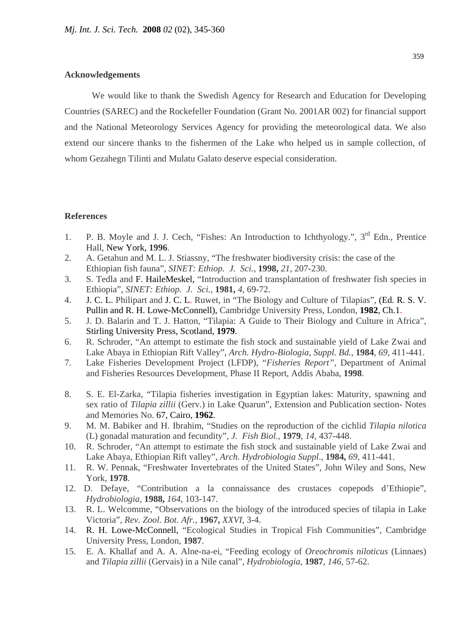#### **Acknowledgements**

We would like to thank the Swedish Agency for Research and Education for Developing Countries (SAREC) and the Rockefeller Foundation (Grant No. 2001AR 002) for financial support and the National Meteorology Services Agency for providing the meteorological data. We also extend our sincere thanks to the fishermen of the Lake who helped us in sample collection, of whom Gezahegn Tilinti and Mulatu Galato deserve especial consideration.

#### **References**

- 1. P. B. Moyle and J. J. Cech, "Fishes: An Introduction to Ichthyology.", 3<sup>rd</sup> Edn., Prentice Hall, New York, **1996**.
- 2. A. Getahun and M. L. J. Stiassny, "The freshwater biodiversity crisis: the case of the Ethiopian fish fauna", *SINET: Ethiop. J. Sci.*, **1998,** *21*, 207-230.
- 3. S. Tedla and F. HaileMeskel, "Introduction and transplantation of freshwater fish species in Ethiopia", *SINET: Ethiop. J. Sci.*, **1981,** *4,* 69-72.
- 4. J. C. L. Philipart and J. C. L. Ruwet, in "The Biology and Culture of Tilapias", (Ed. R. S. V. Pullin and R. H. Lowe-McConnell), Cambridge University Press, London, **1982**, Ch.1.
- 5. J. D. Balarin and T. J. Hatton, "Tilapia: A Guide to Their Biology and Culture in Africa", Stirling University Press, Scotland, **1979**.
- 6. R. Schroder, "An attempt to estimate the fish stock and sustainable yield of Lake Zwai and Lake Abaya in Ethiopian Rift Valley", *Arch. Hydro-Biologia, Suppl. Bd.,* **1984**, *69*, 411-441.
- 7. Lake Fisheries Development Project (LFDP), "*Fisheries Report",* Department of Animal and Fisheries Resources Development, Phase II Report, Addis Ababa, **1998**.
- 8. S. E. El-Zarka, "Tilapia fisheries investigation in Egyptian lakes: Maturity, spawning and sex ratio of *Tilapia zillii* (Gerv.) in Lake Quarun", Extension and Publication section- Notes and Memories No. 67, Cairo, **1962**.
- 9. M. M. Babiker and H. Ibrahim, "Studies on the reproduction of the cichlid *Tilapia nilotica* (L) gonadal maturation and fecundity", *J. Fish Biol.,* **1979**, *14,* 437-448.
- 10. R. Schroder, "An attempt to estimate the fish stock and sustainable yield of Lake Zwai and Lake Abaya, Ethiopian Rift valley", *Arch. Hydrobiologia Suppl*., **1984,** *69,* 411-441.
- 11. R. W. Pennak, "Freshwater Invertebrates of the United States", John Wiley and Sons, New York, **1978**.
- 12. D. Defaye, "Contribution a la connaissance des crustaces copepods d'Ethiopie", *Hydrobiologia,* **1988,** *164*, 103-147.
- 13. R. L. Welcomme, "Observations on the biology of the introduced species of tilapia in Lake Victoria", *Rev. Zool. Bot. Afr.*, **1967,** *XXVI,* 3-4.
- 14. R. H. Lowe-McConnell, "Ecological Studies in Tropical Fish Communities", Cambridge University Press, London, **1987**.
- 15. E. A. Khallaf and A. A. Alne-na-ei, "Feeding ecology of *Oreochromis niloticus* (Linnaes) and *Tilapia zillii* (Gervais) in a Nile canal", *Hydrobiologia,* **1987**, *146,* 57-62.